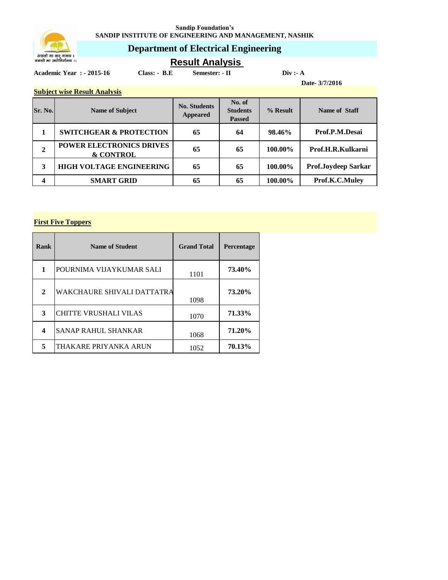**Sandip Foundation's SANDIP INSTITUTE OF ENGINEERING AND MANAGEMENT, NASHIK**



## **Department of Electrical Engineering**

**Result Analysis** 

**Academic Year : - 2015-16 Class: - B.E Semester: - II Div :- A**

**Date- 3/7/2016**

#### **Subject wise Result Analysis**

| Sr. No.     | <b>Name of Subject</b>                                  | <b>No. Students</b><br><b>Appeared</b> | No. of<br><b>Students</b><br><b>Passed</b> | % Result | Name of Staff       |
|-------------|---------------------------------------------------------|----------------------------------------|--------------------------------------------|----------|---------------------|
|             | <b>SWITCHGEAR &amp; PROTECTION</b>                      | 65                                     | 64                                         | 98.46%   | Prof.P.M.Desai      |
| $\mathbf 2$ | <b>POWER ELECTRONICS DRIVES</b><br><b>&amp; CONTROL</b> | 65                                     | 65                                         | 100.00%  | Prof.H.R.Kulkarni   |
| 3           | <b>HIGH VOLTAGE ENGINEERING</b>                         | 65                                     | 65                                         | 100.00%  | Prof.Joydeep Sarkar |
|             | <b>SMART GRID</b>                                       | 65                                     | 65                                         | 100.00%  | Prof.K.C.Muley      |

### **First Five Toppers**

| Rank | <b>Name of Student</b>       | <b>Grand Total</b> | <b>Percentage</b> |
|------|------------------------------|--------------------|-------------------|
| 1    | POURNIMA VIJAYKUMAR SALI     | 1101               | 73.40%            |
| 2    | WAKCHAURE SHIVALI DATTATRA   | 1098               | 73.20%            |
| 3    | <b>CHITTE VRUSHALI VILAS</b> | 1070               | 71.33%            |
| 4    | <b>SANAP RAHUL SHANKAR</b>   | 1068               | 71.20%            |
| 5    | THAKARE PRIYANKA ARUN        | 1052               | 70.13%            |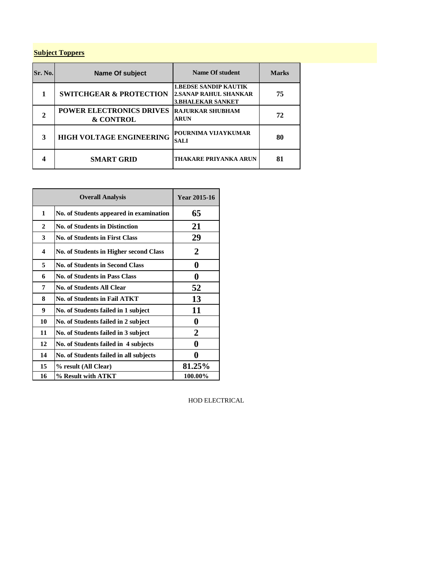### **Subject Toppers**

| Sr. No. | <b>Name Of subject</b>                                  | <b>Name Of student</b>                                                                   | <b>Marks</b> |
|---------|---------------------------------------------------------|------------------------------------------------------------------------------------------|--------------|
|         | <b>SWITCHGEAR &amp; PROTECTION</b>                      | <b>1.BEDSE SANDIP KAUTIK</b><br><b>2.SANAP RAHUL SHANKAR</b><br><b>3.BHALEKAR SANKET</b> | 75           |
|         | <b>POWER ELECTRONICS DRIVES</b><br><b>&amp; CONTROL</b> | <b>RAJURKAR SHUBHAM</b><br><b>ARUN</b>                                                   | 72           |
| 3       | <b>HIGH VOLTAGE ENGINEERING</b>                         | POURNIMA VLIAYKUMAR<br><b>SALI</b>                                                       | 80           |
|         | <b>SMART GRID</b>                                       | THAKARE PRIYANKA ARUN                                                                    | 81           |

| <b>Overall Analysis</b> |                                         | Year 2015-16 |
|-------------------------|-----------------------------------------|--------------|
| $\mathbf{1}$            | No. of Students appeared in examination | 65           |
| $\mathbf{2}$            | <b>No. of Students in Distinction</b>   | 21           |
| 3                       | <b>No. of Students in First Class</b>   | 29           |
| 4                       | No. of Students in Higher second Class  | 2            |
| 5                       | <b>No. of Students in Second Class</b>  | 0            |
| 6                       | <b>No. of Students in Pass Class</b>    | 0            |
| 7                       | <b>No. of Students All Clear</b>        | 52           |
| 8                       | <b>No. of Students in Fail ATKT</b>     | 13           |
| 9                       | No. of Students failed in 1 subject     | 11           |
| 10                      | No. of Students failed in 2 subject     | 0            |
| 11                      | No. of Students failed in 3 subject     | 2            |
| 12                      | No. of Students failed in 4 subjects    | 0            |
| 14                      | No. of Students failed in all subjects  |              |
| 15                      | % result (All Clear)                    | 81.25%       |
| 16                      | % Result with ATKT                      | 100.00%      |

HOD ELECTRICAL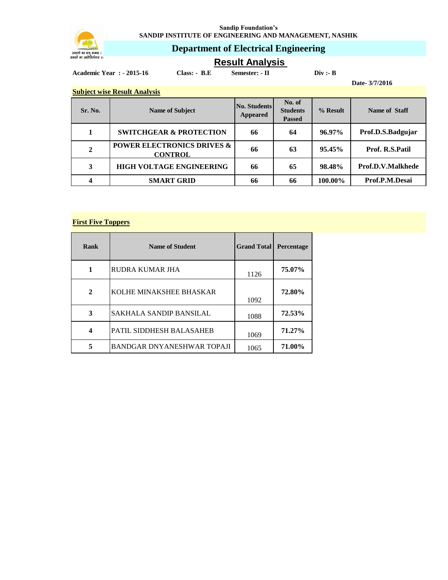

**Sandip Foundation's SANDIP INSTITUTE OF ENGINEERING AND MANAGEMENT, NASHIK**

## **Department of Electrical Engineering**

# **Result Analysis**

**Academic Year : - 2015-16 Class: - B.E Semester: - II Div :- B**

**Subject wise Result Analysis**

**Date- 3/7/2016**

| <b>Subject wise Result Alialysis</b> |                                                         |                                        |                                            |            |                   |
|--------------------------------------|---------------------------------------------------------|----------------------------------------|--------------------------------------------|------------|-------------------|
| Sr. No.                              | <b>Name of Subject</b>                                  | <b>No. Students</b><br><b>Appeared</b> | No. of<br><b>Students</b><br><b>Passed</b> | $%$ Result | Name of Staff     |
|                                      | <b>SWITCHGEAR &amp; PROTECTION</b>                      | 66                                     | 64                                         | $96.97\%$  | Prof.D.S.Badgujar |
| 2                                    | <b>POWER ELECTRONICS DRIVES &amp;</b><br><b>CONTROL</b> | 66                                     | 63                                         | 95.45%     | Prof. R.S.Patil   |
| 3                                    | <b>HIGH VOLTAGE ENGINEERING</b>                         | 66                                     | 65                                         | 98.48%     | Prof.D.V.Malkhede |
|                                      | <b>SMART GRID</b>                                       | 66                                     | 66                                         | 100.00%    | Prof.P.M.Desai    |

### **First Five Toppers**

| Rank         | <b>Name of Student</b>         | <b>Grand Total</b> | Percentage |
|--------------|--------------------------------|--------------------|------------|
| 1            | RUDRA KUMAR JHA                | 1126               | 75.07%     |
| $\mathbf{2}$ | KOLHE MINAKSHEE BHASKAR        | 1092               | 72.80%     |
| 3            | <b>SAKHALA SANDIP BANSILAL</b> | 1088               | 72.53%     |
| 4            | PATIL SIDDHESH BALASAHEB       | 1069               | 71.27%     |
| 5            | BANDGAR DNYANESHWAR TOPAJI     | 1065               | 71.00%     |